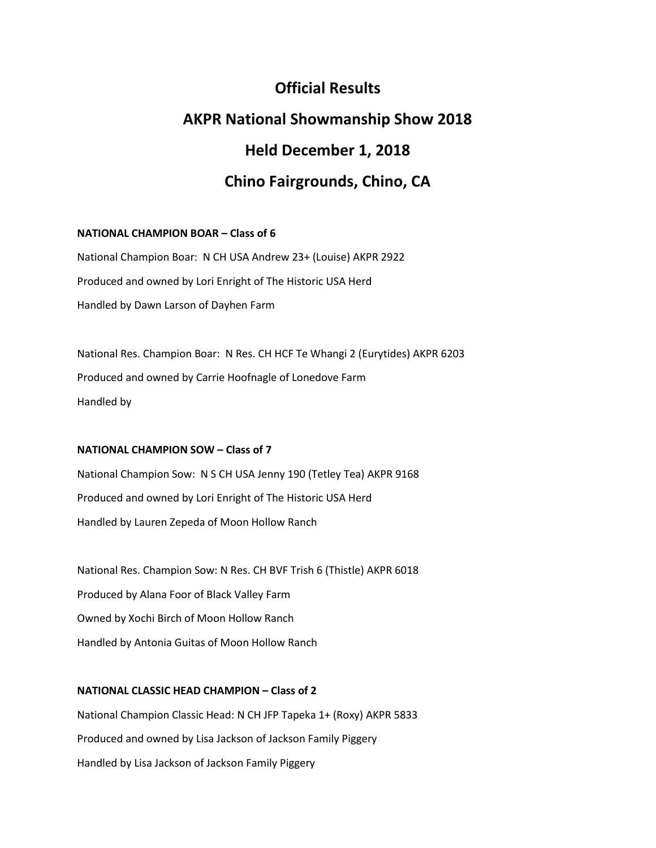# **Official Results AKPR National Showmanship Show 2018 Held December 1, 2018 Chino Fairgrounds, Chino, CA**

#### **NATIONAL CHAMPION BOAR – Class of 6**

National Champion Boar: N CH USA Andrew 23+ (Louise) AKPR 2922 Produced and owned by Lori Enright of The Historic USA Herd Handled by Dawn Larson of Dayhen Farm

National Res. Champion Boar: N Res. CH HCF Te Whangi 2 (Eurytides) AKPR 6203 Produced and owned by Carrie Hoofnagle of Lonedove Farm Handled by

#### **NATIONAL CHAMPION SOW – Class of 7**

National Champion Sow: N S CH USA Jenny 190 (Tetley Tea) AKPR 9168 Produced and owned by Lori Enright of The Historic USA Herd Handled by Lauren Zepeda of Moon Hollow Ranch

National Res. Champion Sow: N Res. CH BVF Trish 6 (Thistle) AKPR 6018 Produced by Alana Foor of Black Valley Farm Owned by Xochi Birch of Moon Hollow Ranch Handled by Antonia Guitas of Moon Hollow Ranch

## **NATIONAL CLASSIC HEAD CHAMPION – Class of 2**

National Champion Classic Head: N CH JFP Tapeka 1+ (Roxy) AKPR 5833 Produced and owned by Lisa Jackson of Jackson Family Piggery Handled by Lisa Jackson of Jackson Family Piggery